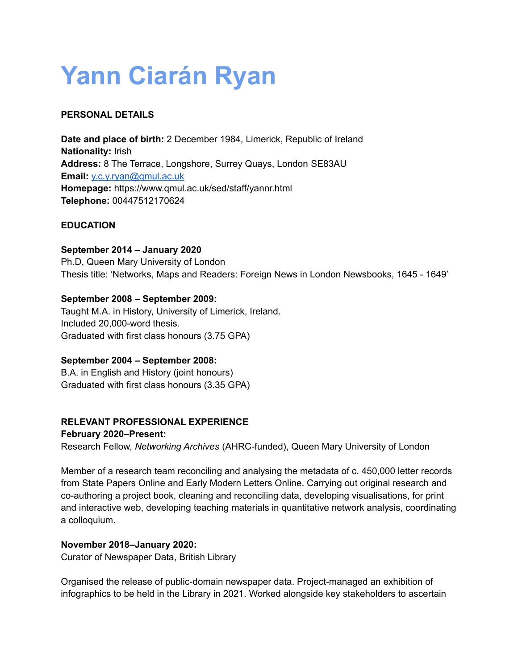# **Yann Ciarán Ryan**

# **PERSONAL DETAILS**

**Date and place of birth:** 2 December 1984, Limerick, Republic of Ireland **Nationality:** Irish **Address:** 8 The Terrace, Longshore, Surrey Quays, London SE83AU **Email:** [y.c.y.ryan@qmul.ac.uk](mailto:y.c.y.ryan@qmul.ac.uk) **Homepage:** https://www.qmul.ac.uk/sed/staff/yannr.html **Telephone:** 00447512170624

## **EDUCATION**

## **September 2014 – January 2020**

Ph.D, Queen Mary University of London Thesis title: 'Networks, Maps and Readers: Foreign News in London Newsbooks, 1645 - 1649'

# **September 2008 – September 2009:**

Taught M.A. in History, University of Limerick, Ireland. Included 20,000-word thesis. Graduated with first class honours (3.75 GPA)

## **September 2004 – September 2008:**

B.A. in English and History (joint honours) Graduated with first class honours (3.35 GPA)

## **RELEVANT PROFESSIONAL EXPERIENCE**

## **February 2020–Present:**

Research Fellow, *Networking Archives* (AHRC-funded), Queen Mary University of London

Member of a research team reconciling and analysing the metadata of c. 450,000 letter records from State Papers Online and Early Modern Letters Online. Carrying out original research and co-authoring a project book, cleaning and reconciling data, developing visualisations, for print and interactive web, developing teaching materials in quantitative network analysis, coordinating a colloquium.

## **November 2018–January 2020:**

Curator of Newspaper Data, British Library

Organised the release of public-domain newspaper data. Project-managed an exhibition of infographics to be held in the Library in 2021. Worked alongside key stakeholders to ascertain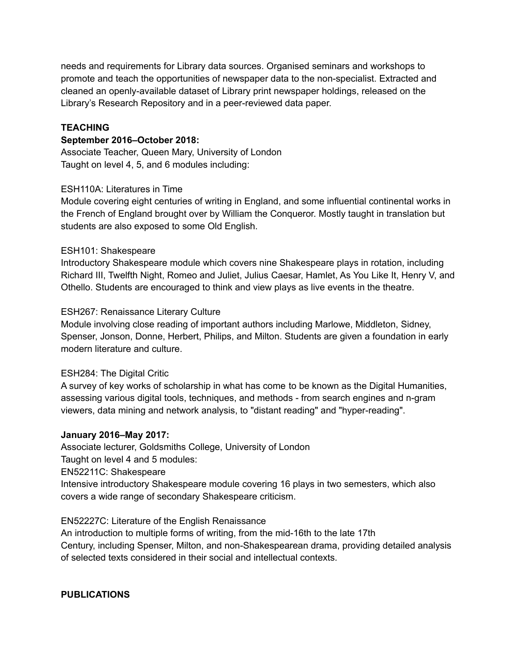needs and requirements for Library data sources. Organised seminars and workshops to promote and teach the opportunities of newspaper data to the non-specialist. Extracted and cleaned an openly-available dataset of Library print newspaper holdings, released on the Library's Research Repository and in a peer-reviewed data paper.

## **TEACHING**

#### **September 2016–October 2018:**

Associate Teacher, Queen Mary, University of London Taught on level 4, 5, and 6 modules including:

#### ESH110A: Literatures in Time

Module covering eight centuries of writing in England, and some influential continental works in the French of England brought over by William the Conqueror. Mostly taught in translation but students are also exposed to some Old English.

#### ESH101: Shakespeare

Introductory Shakespeare module which covers nine Shakespeare plays in rotation, including Richard III, Twelfth Night, Romeo and Juliet, Julius Caesar, Hamlet, As You Like It, Henry V, and Othello. Students are encouraged to think and view plays as live events in the theatre.

#### ESH267: Renaissance Literary Culture

Module involving close reading of important authors including Marlowe, Middleton, Sidney, Spenser, Jonson, Donne, Herbert, Philips, and Milton. Students are given a foundation in early modern literature and culture.

#### ESH284: The Digital Critic

A survey of key works of scholarship in what has come to be known as the Digital Humanities, assessing various digital tools, techniques, and methods - from search engines and n-gram viewers, data mining and network analysis, to "distant reading" and "hyper-reading".

#### **January 2016–May 2017:**

Associate lecturer, Goldsmiths College, University of London Taught on level 4 and 5 modules: EN52211C: Shakespeare Intensive introductory Shakespeare module covering 16 plays in two semesters, which also covers a wide range of secondary Shakespeare criticism.

#### EN52227C: Literature of the English Renaissance

An introduction to multiple forms of writing, from the mid-16th to the late 17th Century, including Spenser, Milton, and non-Shakespearean drama, providing detailed analysis of selected texts considered in their social and intellectual contexts.

#### **PUBLICATIONS**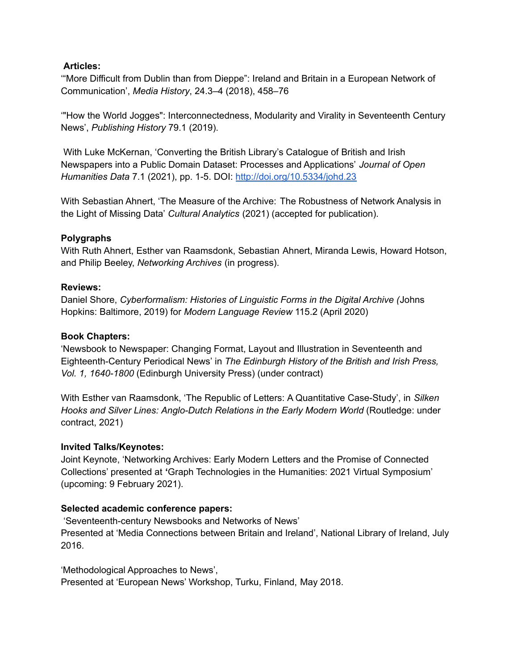## **Articles:**

'"More Difficult from Dublin than from Dieppe": Ireland and Britain in a European Network of Communication', *Media History*, 24.3–4 (2018), 458–76

'"How the World Jogges": Interconnectedness, Modularity and Virality in Seventeenth Century News', *Publishing History* 79.1 (2019).

With Luke McKernan, 'Converting the British Library's Catalogue of British and Irish Newspapers into a Public Domain Dataset: Processes and Applications' *Journal of Open Humanities Data* 7.1 (2021), pp. 1-5. DOI: <http://doi.org/10.5334/johd.23>

With Sebastian Ahnert, 'The Measure of the Archive: The Robustness of Network Analysis in the Light of Missing Data' *Cultural Analytics* (2021) (accepted for publication).

## **Polygraphs**

With Ruth Ahnert, Esther van Raamsdonk, Sebastian Ahnert, Miranda Lewis, Howard Hotson, and Philip Beeley, *Networking Archives* (in progress).

## **Reviews:**

Daniel Shore, *Cyberformalism: Histories of Linguistic Forms in the Digital Archive (*Johns Hopkins: Baltimore, 2019) for *Modern Language Review* 115.2 (April 2020)

#### **Book Chapters:**

'Newsbook to Newspaper: Changing Format, Layout and Illustration in Seventeenth and Eighteenth-Century Periodical News' in *The Edinburgh History of the British and Irish Press, Vol. 1, 1640-1800* (Edinburgh University Press) (under contract)

With Esther van Raamsdonk, 'The Republic of Letters: A Quantitative Case-Study', in *Silken Hooks and Silver Lines: Anglo-Dutch Relations in the Early Modern World* (Routledge: under contract, 2021)

#### **Invited Talks/Keynotes:**

Joint Keynote, 'Networking Archives: Early Modern Letters and the Promise of Connected Collections' presented at **'**Graph Technologies in the Humanities: 2021 Virtual Symposium' (upcoming: 9 February 2021).

## **Selected academic conference papers:**

'Seventeenth-century Newsbooks and Networks of News' Presented at 'Media Connections between Britain and Ireland', National Library of Ireland, July 2016.

'Methodological Approaches to News', Presented at 'European News' Workshop, Turku, Finland, May 2018.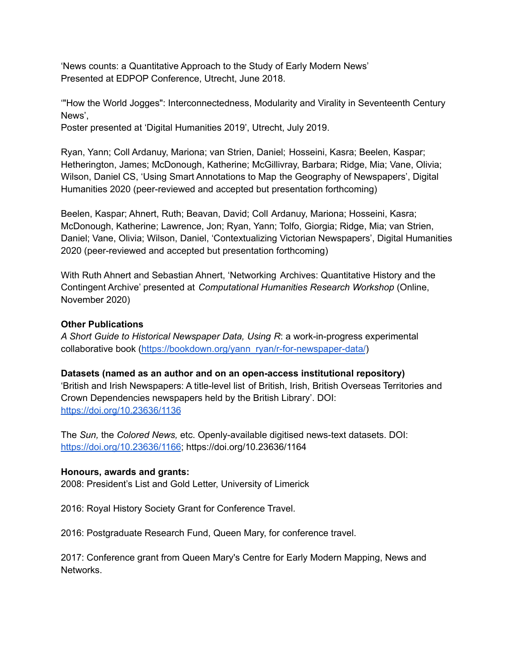'News counts: a Quantitative Approach to the Study of Early Modern News' Presented at EDPOP Conference, Utrecht, June 2018.

'"How the World Jogges": Interconnectedness, Modularity and Virality in Seventeenth Century News',

Poster presented at 'Digital Humanities 2019', Utrecht, July 2019.

Ryan, Yann; Coll Ardanuy, Mariona; van Strien, Daniel; Hosseini, Kasra; Beelen, Kaspar; Hetherington, James; McDonough, Katherine; McGillivray, Barbara; Ridge, Mia; Vane, Olivia; Wilson, Daniel CS, 'Using Smart Annotations to Map the Geography of Newspapers', Digital Humanities 2020 (peer-reviewed and accepted but presentation forthcoming)

Beelen, Kaspar; Ahnert, Ruth; Beavan, David; Coll Ardanuy, Mariona; Hosseini, Kasra; McDonough, Katherine; Lawrence, Jon; Ryan, Yann; Tolfo, Giorgia; Ridge, Mia; van Strien, Daniel; Vane, Olivia; Wilson, Daniel, 'Contextualizing Victorian Newspapers', Digital Humanities 2020 (peer-reviewed and accepted but presentation forthcoming)

With Ruth Ahnert and Sebastian Ahnert, 'Networking Archives: Quantitative History and the Contingent Archive' presented at *Computational Humanities Research Workshop* (Online, November 2020)

## **Other Publications**

*A Short Guide to Historical Newspaper Data, Using R*: a work-in-progress experimental collaborative book [\(https://bookdown.org/yann\\_ryan/r-for-newspaper-data/](https://bookdown.org/yann_ryan/r-for-newspaper-data/))

## **Datasets (named as an author and on an open-access institutional repository)** 'British and Irish Newspapers: A title-level list of British, Irish, British Overseas Territories and Crown Dependencies newspapers held by the British Library'. DOI: <https://doi.org/10.23636/1136>

The *Sun,* the *Colored News,* etc. Openly-available digitised news-text datasets. DOI: <https://doi.org/10.23636/1166>; https://doi.org/10.23636/1164

#### **Honours, awards and grants:**

2008: President's List and Gold Letter, University of Limerick

2016: Royal History Society Grant for Conference Travel.

2016: Postgraduate Research Fund, Queen Mary, for conference travel.

2017: Conference grant from Queen Mary's Centre for Early Modern Mapping, News and Networks.